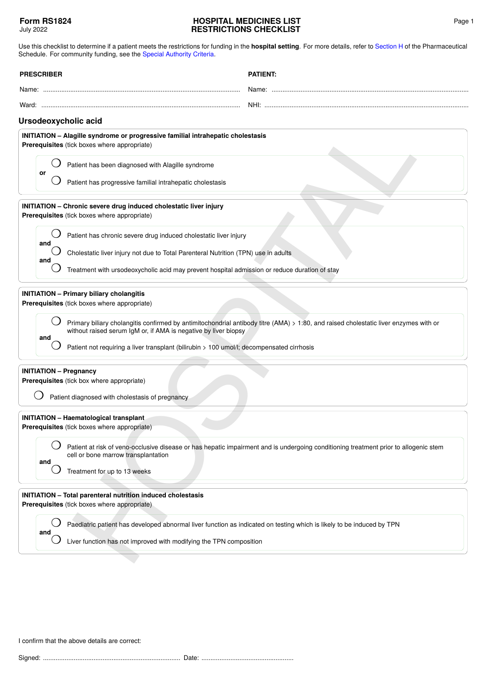## **HOSPITAL MEDICINES LIST RESTRICTIONS CHECKLIST**

Use this checklist to determine if a patient meets the restrictions for funding in the **hospital setting**. For more details, refer to [Section H](https://pharmac.govt.nz/section-h/) of the Pharmaceutical

| Schedule. For community funding, see the Special Authority Criteria.                                                                                                                                                                                                                                                                                        |                                                                                                                                      |  |
|-------------------------------------------------------------------------------------------------------------------------------------------------------------------------------------------------------------------------------------------------------------------------------------------------------------------------------------------------------------|--------------------------------------------------------------------------------------------------------------------------------------|--|
| <b>PRESCRIBER</b>                                                                                                                                                                                                                                                                                                                                           | <b>PATIENT:</b>                                                                                                                      |  |
|                                                                                                                                                                                                                                                                                                                                                             |                                                                                                                                      |  |
|                                                                                                                                                                                                                                                                                                                                                             |                                                                                                                                      |  |
| Ursodeoxycholic acid                                                                                                                                                                                                                                                                                                                                        |                                                                                                                                      |  |
| INITIATION - Alagille syndrome or progressive familial intrahepatic cholestasis<br>Prerequisites (tick boxes where appropriate)                                                                                                                                                                                                                             |                                                                                                                                      |  |
| Patient has been diagnosed with Alagille syndrome<br>or<br>Patient has progressive familial intrahepatic cholestasis                                                                                                                                                                                                                                        |                                                                                                                                      |  |
|                                                                                                                                                                                                                                                                                                                                                             |                                                                                                                                      |  |
| INITIATION - Chronic severe drug induced cholestatic liver injury<br>Prerequisites (tick boxes where appropriate)                                                                                                                                                                                                                                           |                                                                                                                                      |  |
| Patient has chronic severe drug induced cholestatic liver injury                                                                                                                                                                                                                                                                                            |                                                                                                                                      |  |
| and<br>Cholestatic liver injury not due to Total Parenteral Nutrition (TPN) use in adults                                                                                                                                                                                                                                                                   |                                                                                                                                      |  |
| and<br>Treatment with ursodeoxycholic acid may prevent hospital admission or reduce duration of stay                                                                                                                                                                                                                                                        |                                                                                                                                      |  |
| Prerequisites (tick boxes where appropriate)<br>Primary biliary cholangitis confirmed by antimitochondrial antibody titre (AMA) > 1:80, and raised cholestatic liver enzymes with or<br>without raised serum IgM or, if AMA is negative by liver biopsy<br>and<br>Patient not requiring a liver transplant (bilirubin > 100 umol/l; decompensated cirrhosis |                                                                                                                                      |  |
| <b>INITIATION - Pregnancy</b><br>Prerequisites (tick box where appropriate)<br>Patient diagnosed with cholestasis of pregnancy                                                                                                                                                                                                                              |                                                                                                                                      |  |
| <b>INITIATION - Haematological transplant</b><br>Prerequisites (tick boxes where appropriate)                                                                                                                                                                                                                                                               |                                                                                                                                      |  |
| cell or bone marrow transplantation<br>and<br>Treatment for up to 13 weeks                                                                                                                                                                                                                                                                                  | Patient at risk of veno-occlusive disease or has hepatic impairment and is undergoing conditioning treatment prior to allogenic stem |  |
| <b>INITIATION</b> - Total parenteral nutrition induced cholestasis<br>Prerequisites (tick boxes where appropriate)                                                                                                                                                                                                                                          |                                                                                                                                      |  |
| Paediatric patient has developed abnormal liver function as indicated on testing which is likely to be induced by TPN<br>and<br>Liver function has not improved with modifying the TPN composition                                                                                                                                                          |                                                                                                                                      |  |
|                                                                                                                                                                                                                                                                                                                                                             |                                                                                                                                      |  |

## **INITIATION – Total parenteral nutrition induced cholestasis**